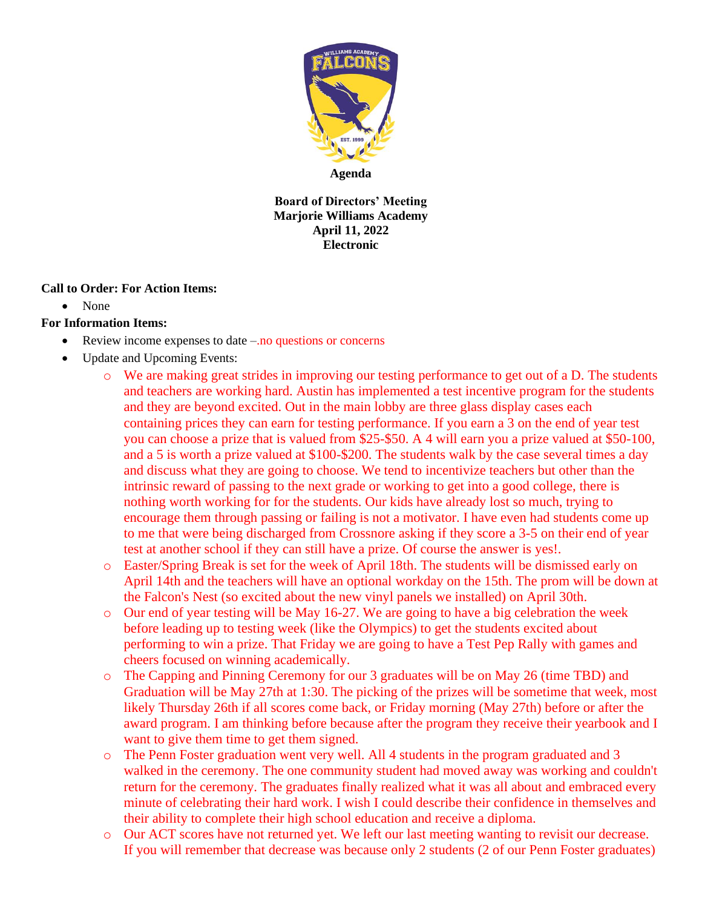

**Agenda**

**Board of Directors' Meeting Marjorie Williams Academy April 11, 2022 Electronic**

## **Call to Order: For Action Items:**

• None

## **For Information Items:**

- Review income expenses to date –.no questions or concerns
- Update and Upcoming Events:
	- o We are making great strides in improving our testing performance to get out of a D. The students and teachers are working hard. Austin has implemented a test incentive program for the students and they are beyond excited. Out in the main lobby are three glass display cases each containing prices they can earn for testing performance. If you earn a 3 on the end of year test you can choose a prize that is valued from \$25-\$50. A 4 will earn you a prize valued at \$50-100, and a 5 is worth a prize valued at \$100-\$200. The students walk by the case several times a day and discuss what they are going to choose. We tend to incentivize teachers but other than the intrinsic reward of passing to the next grade or working to get into a good college, there is nothing worth working for for the students. Our kids have already lost so much, trying to encourage them through passing or failing is not a motivator. I have even had students come up to me that were being discharged from Crossnore asking if they score a 3-5 on their end of year test at another school if they can still have a prize. Of course the answer is yes!.
	- o Easter/Spring Break is set for the week of April 18th. The students will be dismissed early on April 14th and the teachers will have an optional workday on the 15th. The prom will be down at the Falcon's Nest (so excited about the new vinyl panels we installed) on April 30th.
	- o Our end of year testing will be May 16-27. We are going to have a big celebration the week before leading up to testing week (like the Olympics) to get the students excited about performing to win a prize. That Friday we are going to have a Test Pep Rally with games and cheers focused on winning academically.
	- o The Capping and Pinning Ceremony for our 3 graduates will be on May 26 (time TBD) and Graduation will be May 27th at 1:30. The picking of the prizes will be sometime that week, most likely Thursday 26th if all scores come back, or Friday morning (May 27th) before or after the award program. I am thinking before because after the program they receive their yearbook and I want to give them time to get them signed.
	- o The Penn Foster graduation went very well. All 4 students in the program graduated and 3 walked in the ceremony. The one community student had moved away was working and couldn't return for the ceremony. The graduates finally realized what it was all about and embraced every minute of celebrating their hard work. I wish I could describe their confidence in themselves and their ability to complete their high school education and receive a diploma.
	- o Our ACT scores have not returned yet. We left our last meeting wanting to revisit our decrease. If you will remember that decrease was because only 2 students (2 of our Penn Foster graduates)